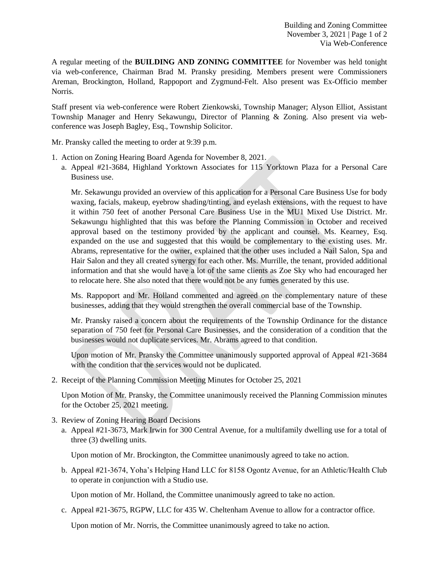A regular meeting of the **BUILDING AND ZONING COMMITTEE** for November was held tonight via web-conference, Chairman Brad M. Pransky presiding. Members present were Commissioners Areman, Brockington, Holland, Rappoport and Zygmund-Felt. Also present was Ex-Officio member Norris.

Staff present via web-conference were Robert Zienkowski, Township Manager; Alyson Elliot, Assistant Township Manager and Henry Sekawungu, Director of Planning & Zoning. Also present via webconference was Joseph Bagley, Esq., Township Solicitor.

Mr. Pransky called the meeting to order at 9:39 p.m.

- 1. Action on Zoning Hearing Board Agenda for November 8, 2021.
	- a. Appeal #21-3684, Highland Yorktown Associates for 115 Yorktown Plaza for a Personal Care Business use.

Mr. Sekawungu provided an overview of this application for a Personal Care Business Use for body waxing, facials, makeup, eyebrow shading/tinting, and eyelash extensions, with the request to have it within 750 feet of another Personal Care Business Use in the MU1 Mixed Use District. Mr. Sekawungu highlighted that this was before the Planning Commission in October and received approval based on the testimony provided by the applicant and counsel. Ms. Kearney, Esq. expanded on the use and suggested that this would be complementary to the existing uses. Mr. Abrams, representative for the owner, explained that the other uses included a Nail Salon, Spa and Hair Salon and they all created synergy for each other. Ms. Murrille, the tenant, provided additional information and that she would have a lot of the same clients as Zoe Sky who had encouraged her to relocate here. She also noted that there would not be any fumes generated by this use.

Ms. Rappoport and Mr. Holland commented and agreed on the complementary nature of these businesses, adding that they would strengthen the overall commercial base of the Township.

Mr. Pransky raised a concern about the requirements of the Township Ordinance for the distance separation of 750 feet for Personal Care Businesses, and the consideration of a condition that the businesses would not duplicate services. Mr. Abrams agreed to that condition.

Upon motion of Mr. Pransky the Committee unanimously supported approval of Appeal #21-3684 with the condition that the services would not be duplicated.

2. Receipt of the Planning Commission Meeting Minutes for October 25, 2021

Upon Motion of Mr. Pransky, the Committee unanimously received the Planning Commission minutes for the October 25, 2021 meeting.

- 3. Review of Zoning Hearing Board Decisions
	- a. Appeal #21-3673, Mark Irwin for 300 Central Avenue, for a multifamily dwelling use for a total of three (3) dwelling units.

Upon motion of Mr. Brockington, the Committee unanimously agreed to take no action.

b. Appeal #21-3674, Yoha's Helping Hand LLC for 8158 Ogontz Avenue, for an Athletic/Health Club to operate in conjunction with a Studio use.

Upon motion of Mr. Holland, the Committee unanimously agreed to take no action.

c. Appeal #21-3675, RGPW, LLC for 435 W. Cheltenham Avenue to allow for a contractor office.

Upon motion of Mr. Norris, the Committee unanimously agreed to take no action.